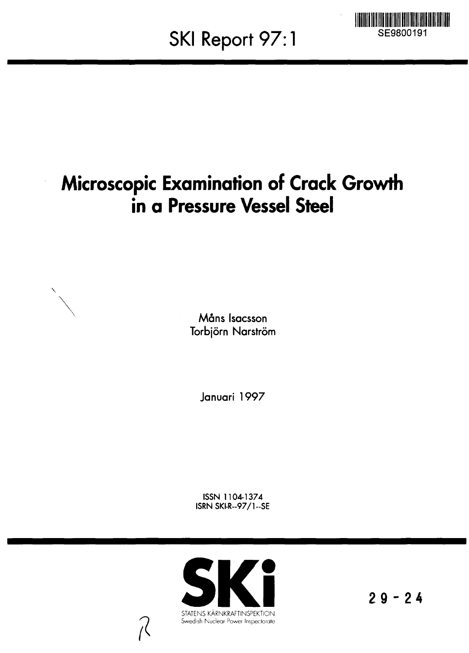**SKI Report 97:1**



# **Microscopic Examination of Crack Growth in a Pressure Vessel Steel**

**Mans Isacsson Torbjörn Narström** 

**Januari 1997**

**ISSN 1104-1374 ISRN SKI-R--97/1--SE** 



**29-2 4**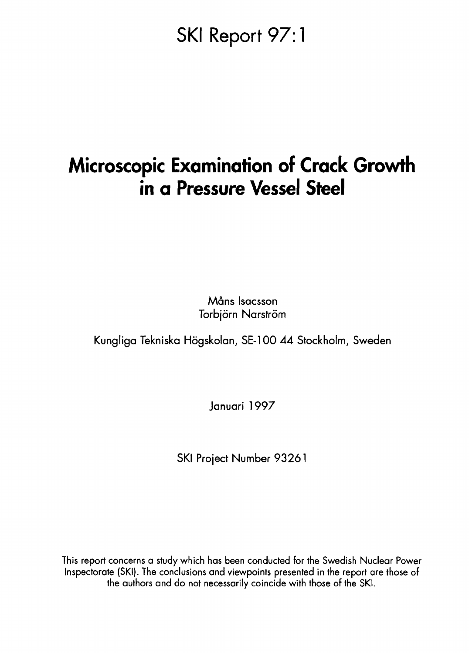# SKI Report 97:1

# **Microscopic Examination of Crack Growth in a Pressure Vessel Steel**

**Mans Isacsson Torbjörn Narström** 

**Kungliga Tekniska Hogskolan, SE-1OO 44 Stockholm, Sweden**

**Januari 1997**

**SKI Project Number 93261**

This report concerns a study which has been conducted for the Swedish Nuclear Power Inspectorate (SKI). The conclusions and viewpoints presented in the report are those of the authors and do not necessarily coincide with those of the SKI.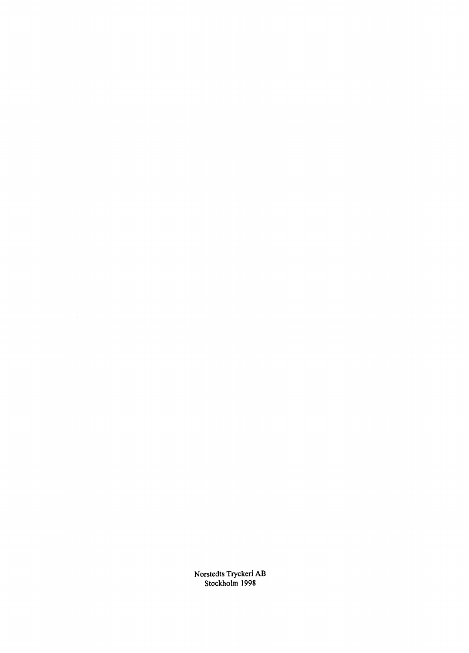Norstedts Tryckeri AB Stockholm 1998

 $\sim 1$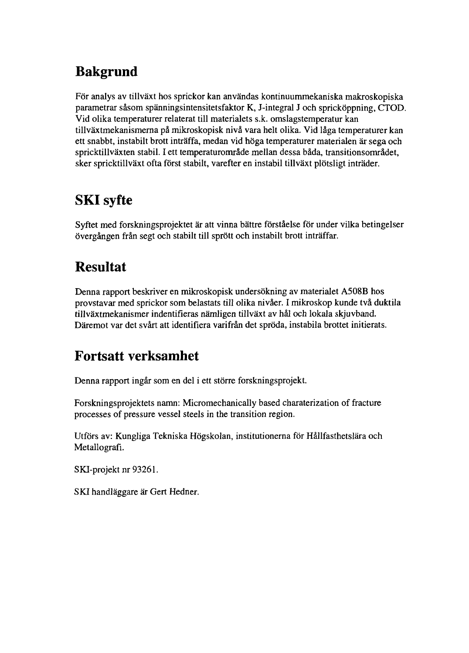# **Bakgrund**

För analys av tillväxt hos sprickor kan användas kontinuummekaniska makroskopiska parametrar såsom spänningsintensitetsfaktor K, J-integral J och spricköppning, CTOD. Vid olika temperaturer relaterat till materialets s.k. omslagstemperatur kan tillväxtmekanismerna på mikroskopisk nivå vara helt olika. Vid låga temperaturer kan ett snabbt, instabilt brott inträffa, medan vid höga temperaturer materialen är sega och spricktillväxten stabil. I ett temperaturområde mellan dessa båda, transitionsområdet, sker spricktillväxt ofta först stabilt, varefter en instabil tillväxt plötsligt inträder.

## **SKI syfte**

Syftet med forskningsprojektet är att vinna bättre förståelse för under vilka betingelser övergången från segt och stabilt till sprött och instabilt brott inträffar.

## **Resultat**

Denna rapport beskriver en mikroskopisk undersökning av materialet A508B hos provstavar med sprickor som belastats till olika nivåer. I mikroskop kunde två duktila tillväxtmekanismer indentifieras nämligen tillväxt av hål och lokala skjuvband. Däremot var det svårt att identifiera varifrån det spröda, instabila brottet initierats.

### **Fortsatt verksamhet**

Denna rapport ingår som en del i ett större forskningsprojekt.

Forskningsprojektets namn: Micromechanically based charaterization of fracture processes of pressure vessel steels in the transition region.

Utförs av: Kungliga Tekniska Högskolan, institutionerna för Hållfasthetslära och Metallografi.

SKI-projekt nr 93261.

SKI handläggare är Gert Hedner.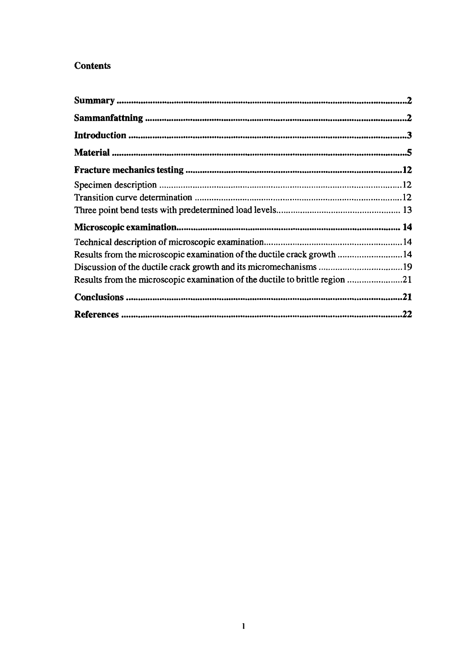#### **Contents**

| Results from the microscopic examination of the ductile crack growth 14 |  |
|-------------------------------------------------------------------------|--|
|                                                                         |  |
|                                                                         |  |
|                                                                         |  |
|                                                                         |  |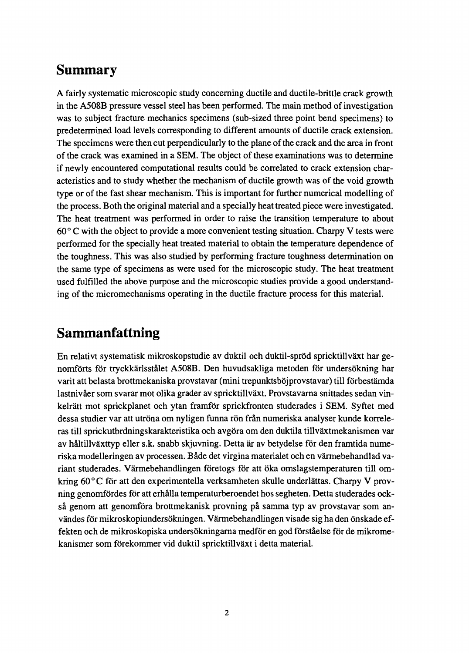### **Summary**

A fairly systematic microscopic study concerning ductile and ductile-brittle crack growth in the A5O8B pressure vessel steel has been performed. The main method of investigation was to subject fracture mechanics specimens (sub-sized three point bend specimens) to predetermined load levels corresponding to different amounts of ductile crack extension. The specimens were then cut perpendicularly to the plane of the crack and the area in front of the crack was examined in a SEM. The object of these examinations was to determine if newly encountered computational results could be correlated to crack extension characteristics and to study whether the mechanism of ductile growth was of the void growth type or of the fast shear mechanism. This is important for further numerical modelling of the process. Both the original material and a specially heat treated piece were investigated. The heat treatment was performed in order to raise the transition temperature to about 60° C with the object to provide a more convenient testing situation. Charpy V tests were performed for the specially heat treated material to obtain the temperature dependence of the toughness. This was also studied by performing fracture toughness determination on the same type of specimens as were used for the microscopic study. The heat treatment used fulfilled the above purpose and the microscopic studies provide a good understanding of the micromechanisms operating in the ductile fracture process for this material.

### **Sammanfattning**

En relativt systematisk mikroskopstudie av duktil och duktil-sprod spricktillvaxt har genomforts for tryckkarlsstalet A5O8B. Den huvudsakliga metoden for undersokning har varit att belasta brottmekaniska provstavar (mini trepunktsböjprovstavar) till förbestämda lastnivåer som svarar mot olika grader av spricktillväxt. Provstavarna snittades sedan vinkelratt mot sprickplanet och ytan framfor sprickfronten studerades i SEM. Syftet med dessa studier var att utröna om nyligen funna rön från numeriska analyser kunde korreleras till sprickutbrdningskarakteristika och avgöra om den duktila tillväxtmekanismen var av haltillvaxttyp eller s.k. snabb skjuvning. Detta ar av betydelse for den framtida numeriska modelleringen av processen. Både det virgina materialet och en värmebehandlad variant studerades. Varmebehandlingen foretogs for att oka omslagstemperaturen till omkring 60°C för att den experimentella verksamheten skulle underlättas. Charpy V provning genomfordes for att erhalla temperaturberoendet hos segheten. Detta studerades också genom att genomföra brottmekanisk provning på samma typ av provstavar som användes för mikroskopiundersökningen. Värmebehandlingen visade sig ha den önskade effekten och de mikroskopiska undersokningarna medfor en god forstaelse for de mikromekanismer som forekommer vid duktil spricktillvaxt i detta material.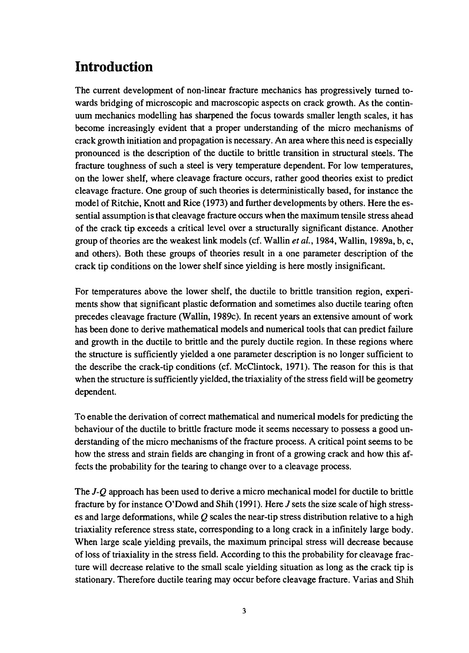## **Introduction**

The current development of non-linear fracture mechanics has progressively turned towards bridging of microscopic and macroscopic aspects on crack growth. As the continuum mechanics modelling has sharpened the focus towards smaller length scales, it has become increasingly evident that a proper understanding of the micro mechanisms of crack growth initiation and propagation is necessary. An area where this need is especially pronounced is the description of the ductile to brittle transition in structural steels. The fracture toughness of such a steel is very temperature dependent. For low temperatures, on the lower shelf, where cleavage fracture occurs, rather good theories exist to predict cleavage fracture. One group of such theories is deterministically based, for instance the model of Ritchie, Knott and Rice (1973) and further developments by others. Here the essential assumption is that cleavage fracture occurs when the maximum tensile stress ahead of the crack tip exceeds a critical level over a structurally significant distance. Another group of theories are the weakest link models (cf. Wallin *et al.,* 1984, Wallin, 1989a, b, c, and others). Both these groups of theories result in a one parameter description of the crack tip conditions on the lower shelf since yielding is here mostly insignificant.

For temperatures above the lower shelf, the ductile to brittle transition region, experiments show that significant plastic deformation and sometimes also ductile tearing often precedes cleavage fracture (Wallin, 1989c). In recent years an extensive amount of work has been done to derive mathematical models and numerical tools that can predict failure and growth in the ductile to brittle and the purely ductile region. In these regions where the structure is sufficiently yielded a one parameter description is no longer sufficient to the describe the crack-tip conditions (cf. McClintock, 1971). The reason for this is that when the structure is sufficiently yielded, the triaxiality of the stress field will be geometry dependent.

To enable the derivation of correct mathematical and numerical models for predicting the behaviour of the ductile to brittle fracture mode it seems necessary to possess a good understanding of the micro mechanisms of the fracture process. A critical point seems to be how the stress and strain fields are changing in front of a growing crack and how this affects the probability for the tearing to change over to a cleavage process.

The *J-Q* approach has been used to derive a micro mechanical model for ductile to brittle fracture by for instance O'Dowd and Shih (1991). Here *J* sets the size scale of high stresses and large deformations, while *Q* scales the near-tip stress distribution relative to a high triaxiality reference stress state, corresponding to a long crack in a infinitely large body. When large scale yielding prevails, the maximum principal stress will decrease because of loss of triaxiality in the stress field. According to this the probability for cleavage fracture will decrease relative to the small scale yielding situation as long as the crack tip is stationary. Therefore ductile tearing may occur before cleavage fracture. Varias and Shih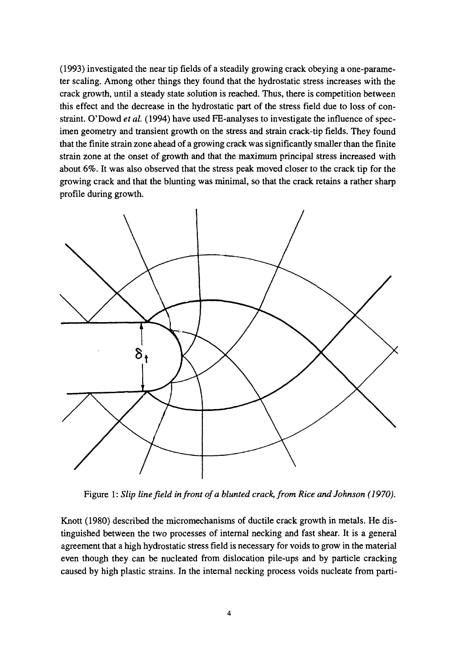(1993) investigated the near tip fields of a steadily growing crack obeying a one-parameter scaling. Among other things they found that the hydrostatic stress increases with the crack growth, until a steady state solution is reached. Thus, there is competition between this effect and the decrease in the hydrostatic part of the stress field due to loss of constraint. O'Dowd *et al.* (1994) have used FE-analyses to investigate the influence of specimen geometry and transient growth on the stress and strain crack-tip fields. They found that the finite strain zone ahead of a growing crack was significantly smaller than the finite strain zone at the onset of growth and that the maximum principal stress increased with about 6%. It was also observed that the stress peak moved closer to the crack tip for the growing crack and that the blunting was minimal, so that the crack retains a rather sharp profile during growth.



Figure 1: *Slip line field in front of a blunted crack, from Rice and Johnson (1970).*

Knott (1980) described the micromechanisms of ductile crack growth in metals. He distinguished between the two processes of internal necking and fast shear. It is a general agreement that a high hydrostatic stress field is necessary for voids to grow in the material even though they can be nucleated from dislocation pile-ups and by particle cracking caused by high plastic strains. In the internal necking process voids nucleate from parti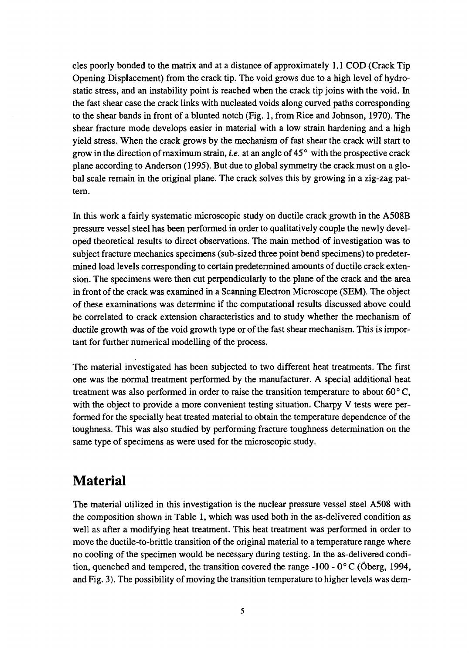cles poorly bonded to the matrix and at a distance of approximately 1.1 COD (Crack Tip Opening Displacement) from the crack tip. The void grows due to a high level of hydrostatic stress, and an instability point is reached when the crack tip joins with the void. In the fast shear case the crack links with nucleated voids along curved paths corresponding to the shear bands in front of a blunted notch (Fig. 1, from Rice and Johnson, 1970). The shear fracture mode develops easier in material with a low strain hardening and a high yield stress. When the crack grows by the mechanism of fast shear the crack will start to grow in the direction of maximum strain, *i.e.* at an angle of 45 ° with the prospective crack plane according to Anderson (1995). But due to global symmetry the crack must on a global scale remain in the original plane. The crack solves this by growing in a zig-zag pattern.

In this work a fairly systematic microscopic study on ductile crack growth in the A508B pressure vessel steel has been performed in order to qualitatively couple the newly developed theoretical results to direct observations. The main method of investigation was to subject fracture mechanics specimens (sub-sized three point bend specimens) to predetermined load levels corresponding to certain predetermined amounts of ductile crack extension. The specimens were then cut perpendicularly to the plane of the crack and the area in front of the crack was examined in a Scanning Electron Microscope (SEM). The object of these examinations was determine if the computational results discussed above could be correlated to crack extension characteristics and to study whether the mechanism of ductile growth was of the void growth type or of the fast shear mechanism. This is important for further numerical modelling of the process.

The material investigated has been subjected to two different heat treatments. The first one was the normal treatment performed by the manufacturer. A special additional heat treatment was also performed in order to raise the transition temperature to about 60° C, with the object to provide a more convenient testing situation. Charpy V tests were performed for the specially heat treated material to obtain the temperature dependence of the toughness. This was also studied by performing fracture toughness determination on the same type of specimens as were used for the microscopic study.

### **Material**

The material utilized in this investigation is the nuclear pressure vessel steel A508 with the composition shown in Table 1, which was used both in the as-delivered condition as well as after a modifying heat treatment. This heat treatment was performed in order to move the ductile-to-brittle transition of the original material to a temperature range where no cooling of the specimen would be necessary during testing. In the as-delivered condition, quenched and tempered, the transition covered the range -100 -  $0^{\circ}$ C (Oberg, 1994, and Fig. 3). The possibility of moving the transition temperature to higher levels was dem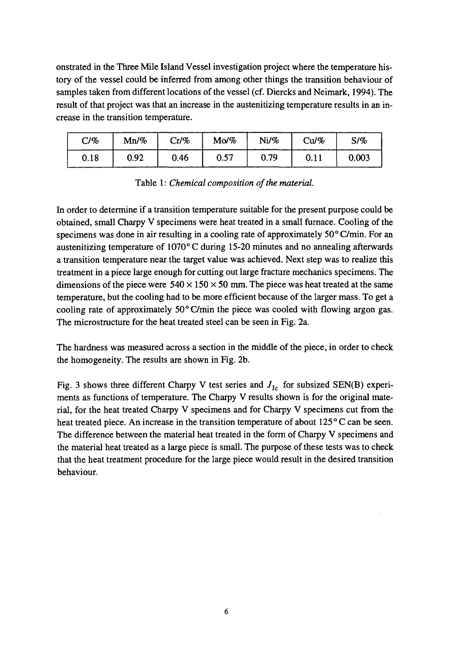onstrated in the Three Mile Island Vessel investigation project where the temperature history of the vessel could be inferred from among other things the transition behaviour of samples taken from different locations of the vessel (cf. Diercks and Neimark, 1994). The result of that project was that an increase in the austenitizing temperature results in an increase in the transition temperature.

| C/%  | $Mn\%$ | $Cr/ \%$ | Mo/% | Ni/% | Cu/% | S/%   |
|------|--------|----------|------|------|------|-------|
| 0.18 | 0.92   | 0.46     | 0.57 | 0.79 | 0.11 | 0.003 |

Table 1: *Chemical composition of the material.*

In order to determine if a transition temperature suitable for the present purpose could be obtained, small Charpy V specimens were heat treated in a small furnace. Cooling of the specimens was done in air resulting in a cooling rate of approximately 50° C/min. For an austenitizing temperature of 1070° C during 15-20 minutes and no annealing afterwards a transition temperature near the target value was achieved. Next step was to realize this treatment in a piece large enough for cutting out large fracture mechanics specimens. The dimensions of the piece were  $540 \times 150 \times 50$  mm. The piece was heat treated at the same temperature, but the cooling had to be more efficient because of the larger mass. To get a cooling rate of approximately 50° C/min the piece was cooled with flowing argon gas. The microstructure for the heat treated steel can be seen in Fig. 2a.

The hardness was measured across a section in the middle of the piece, in order to check the homogeneity. The results are shown in Fig. 2b.

Fig. 3 shows three different Charpy V test series and  $J<sub>1c</sub>$  for subsized SEN(B) experiments as functions of temperature. The Charpy V results shown is for the original material, for the heat treated Charpy V specimens and for Charpy V specimens cut from the heat treated piece. An increase in the transition temperature of about 125°C can be seen. The difference between the material heat treated in the form of Charpy V specimens and the material heat treated as a large piece is small. The purpose of these tests was to check that the heat treatment procedure for the large piece would result in the desired transition behaviour.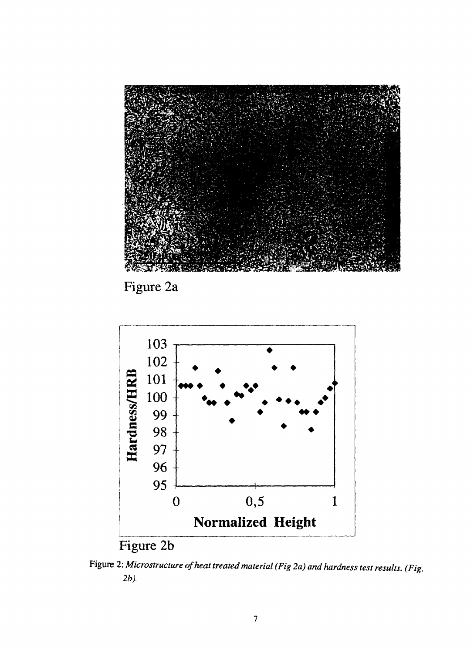

Figure 2a



Figure 2: *Microstructure of heat treated material (Fig 2a) and hardness test results. (Fig. 2b).*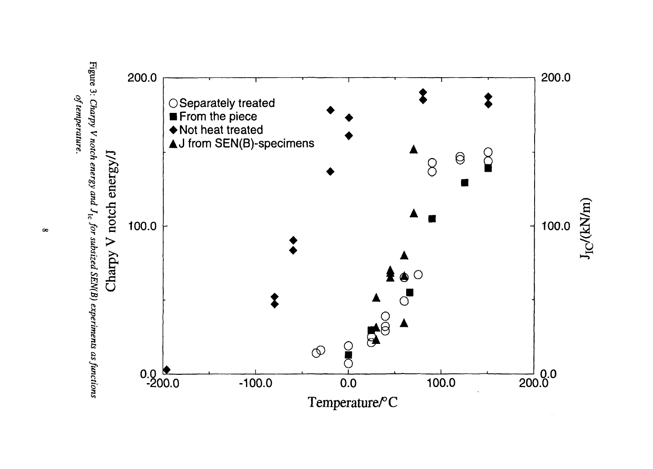



 $\infty$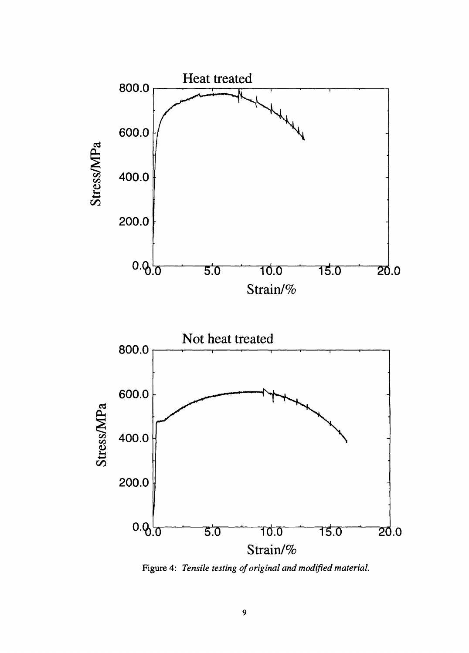

Figure 4: *Tensile testing of original and modified material.*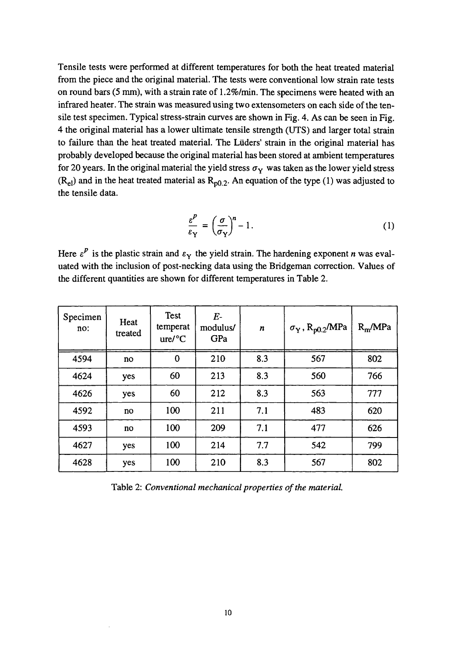Tensile tests were performed at different temperatures for both the heat treated material from the piece and the original material. The tests were conventional low strain rate tests on round bars (5 mm), with a strain rate of 1.2%/min. The specimens were heated with an infrared heater. The strain was measured using two extensometers on each side of the tensile test specimen. Typical stress-strain curves are shown in Fig. 4. As can be seen in Fig. 4 the original material has a lower ultimate tensile strength (UTS) and larger total strain to failure than the heat treated material. The Lüders' strain in the original material has probably developed because the original material has been stored at ambient temperatures for 20 years. In the original material the yield stress  $\sigma_Y$  was taken as the lower yield stress  $(R_{el})$  and in the heat treated material as  $R_{p0.2}$ . An equation of the type (1) was adjusted to the tensile data.

$$
\frac{\varepsilon^P}{\varepsilon_\mathbf{Y}} = \left(\frac{\sigma}{\sigma_\mathbf{Y}}\right)^n - 1. \tag{1}
$$

Here  $\varepsilon^p$  is the plastic strain and  $\varepsilon_\text{Y}$  the yield strain. The hardening exponent *n* was evaluated with the inclusion of post-necking data using the Bridgeman correction. Values of the different quantities are shown for different temperatures in Table 2.

| Specimen<br>no: | Heat<br>treated | <b>Test</b><br>temperat<br>ure/°C | $E-$<br>modulus/<br>GPa | $\boldsymbol{n}$ | $\sigma_Y$ , R <sub>p0.2</sub> /MPa | $R_m/MPa$ |
|-----------------|-----------------|-----------------------------------|-------------------------|------------------|-------------------------------------|-----------|
| 4594            | no              | $\bf{0}$                          | 210                     | 8.3              | 567                                 | 802       |
| 4624            | yes             | 60                                | 213                     | 8.3              | 560                                 | 766       |
| 4626            | yes             | 60                                | 212                     | 8.3              | 563                                 | 777       |
| 4592            | no              | 100                               | 211                     | 7.1              | 483                                 | 620       |
| 4593            | no              | 100                               | 209                     | 7.1              | 477                                 | 626       |
| 4627            | yes             | 100                               | 214                     | 7.7              | 542                                 | 799       |
| 4628            | yes             | 100                               | 210                     | 8.3              | 567                                 | 802       |

Table 2: *Conventional mechanical properties of the material.*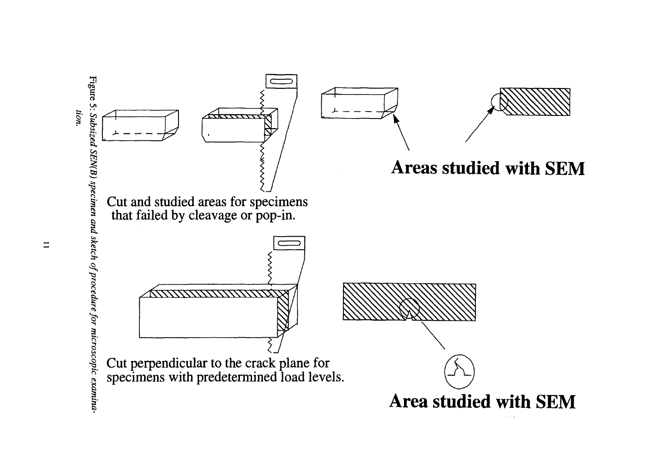

 $\equiv$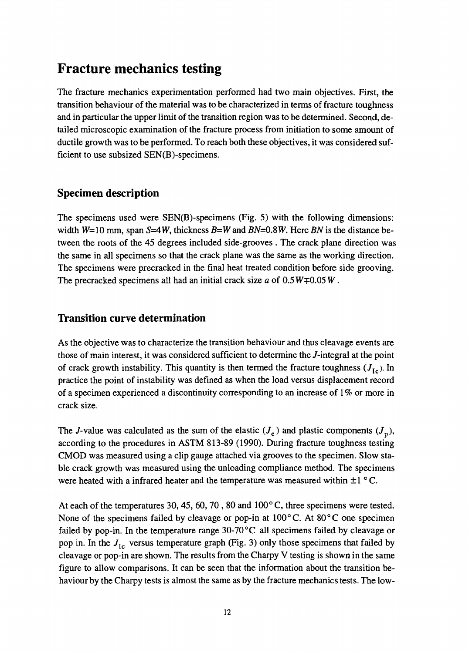### **Fracture mechanics testing**

The fracture mechanics experimentation performed had two main objectives. First, the transition behaviour of the material was to be characterized in terms of fracture toughness and in particular the upper limit of the transition region was to be determined. Second, detailed microscopic examination of the fracture process from initiation to some amount of ductile growth was to be performed. To reach both these objectives, it was considered sufficient to use subsized SEN(B)-specimens.

#### Specimen description

The specimens used were SEN(B)-specimens (Fig. 5) with the following dimensions: width  $W=10$  mm, span  $S=4W$ , thickness  $B=W$  and  $BN=0.8W$ . Here BN is the distance between the roots of the 45 degrees included side-grooves . The crack plane direction was the same in all specimens so that the crack plane was the same as the working direction. The specimens were precracked in the final heat treated condition before side grooving. The precracked specimens all had an initial crack size  $a$  of  $0.5W \neq 0.05W$ .

#### Transition curve determination

As the objective was to characterize the transition behaviour and thus cleavage events are those of main interest, it was considered sufficient to determine the /-integral at the point of crack growth instability. This quantity is then termed the fracture toughness  $(J<sub>1c</sub>)$ . In practice the point of instability was defined as when the load versus displacement record of a specimen experienced a discontinuity corresponding to an increase of 1 % or more in crack size.

The *J*-value was calculated as the sum of the elastic  $(J_e)$  and plastic components  $(J_p)$ , according to the procedures in ASTM 813-89 (1990). During fracture toughness testing CMOD was measured using a clip gauge attached via grooves to the specimen. Slow stable crack growth was measured using the unloading compliance method. The specimens were heated with a infrared heater and the temperature was measured within  $\pm 1$  °C.

At each of the temperatures 30,45, 60,70 , 80 and 100° C, three specimens were tested. None of the specimens failed by cleavage or pop-in at  $100^{\circ}$ C. At  $80^{\circ}$ C one specimen failed by pop-in. In the temperature range  $30\text{-}70\text{°C}$  all specimens failed by cleavage or pop in. In the *Jlc* versus temperature graph (Fig. 3) only those specimens that failed by cleavage or pop-in are shown. The results from the Charpy V testing is shown in the same figure to allow comparisons. It can be seen that the information about the transition behaviour by the Charpy tests is almost the same as by the fracture mechanics tests. The low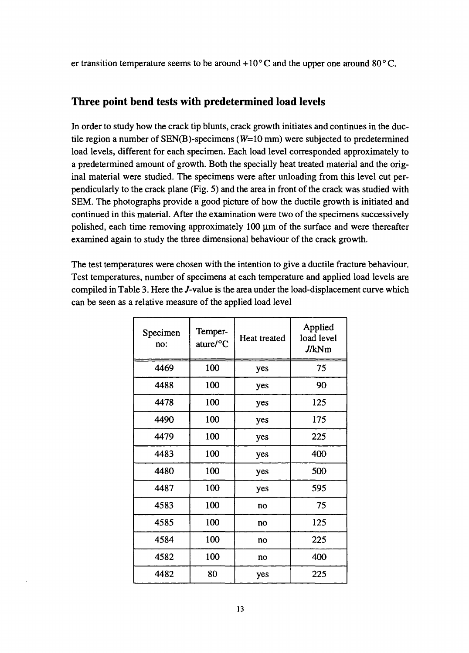er transition temperature seems to be around  $+10^{\circ}$ C and the upper one around 80 $^{\circ}$ C.

#### Three point bend tests with predetermined load levels

In order to study how the crack tip blunts, crack growth initiates and continues in the ductile region a number of  $SEN(B)$ -specimens ( $W=10$  mm) were subjected to predetermined load levels, different for each specimen. Each load level corresponded approximately to a predetermined amount of growth. Both the specially heat treated material and the original material were studied. The specimens were after unloading from this level cut perpendicularly to the crack plane (Fig. 5) and the area in front of the crack was studied with SEM. The photographs provide a good picture of how the ductile growth is initiated and continued in this material. After the examination were two of the specimens successively polished, each time removing approximately  $100 \mu m$  of the surface and were thereafter examined again to study the three dimensional behaviour of the crack growth.

The test temperatures were chosen with the intention to give a ductile fracture behaviour. Test temperatures, number of specimens at each temperature and applied load levels are compiled in Table 3. Here the /-value is the area under the load-displacement curve which can be seen as a relative measure of the applied load level

| Specimen<br>no: | Temper-<br>ature/°C | Heat treated | Applied<br>load level<br>J/kNm |
|-----------------|---------------------|--------------|--------------------------------|
| 4469            | 100                 | yes          | 75                             |
| 4488            | 100                 | yes          | 90                             |
| 4478            | 100                 | yes          | 125                            |
| 4490            | 100                 | yes          | 175                            |
| 4479            | 100                 | yes          | 225                            |
| 4483            | 100                 | yes          | 400                            |
| 4480            | 100                 | yes          | 500                            |
| 4487            | 100                 | yes          | 595                            |
| 4583            | 100                 | no           | 75                             |
| 4585            | 100                 | no           | 125                            |
| 4584            | 100                 | no           | 225                            |
| 4582            | 100                 | no           | 400                            |
| 4482            | 80                  | yes          | 225                            |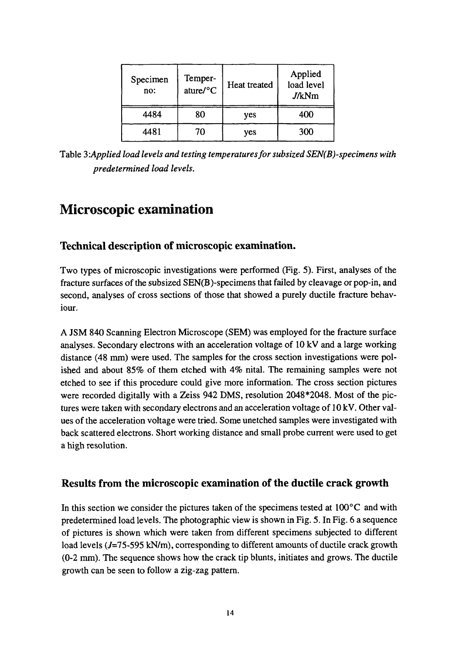| Specimen<br>no: | Temper-<br>ature/°C | Heat treated | Applied<br>load level<br>J/kNm |
|-----------------|---------------------|--------------|--------------------------------|
| 4484            | 80                  | yes          | 400                            |
| 4481            | 70                  | yes          | 300                            |

Table 3: Applied load levels and testing temperatures for subsized SEN(B)-specimens with *predetermined load levels.*

### **Microscopic examination**

#### Technical description of microscopic examination.

Two types of microscopic investigations were performed (Fig. 5). First, analyses of the fracture surfaces of the subsized SEN(B)-specimens that failed by cleavage or pop-in, and second, analyses of cross sections of those that showed a purely ductile fracture behaviour.

A JSM 840 Scanning Electron Microscope (SEM) was employed for the fracture surface analyses. Secondary electrons with an acceleration voltage of 10 kV and a large working distance (48 mm) were used. The samples for the cross section investigations were polished and about 85% of them etched with 4% nital. The remaining samples were not etched to see if this procedure could give more information. The cross section pictures were recorded digitally with a Zeiss 942 DMS, resolution 2048\*2048. Most of the pictures were taken with secondary electrons and an acceleration voltage of 10 kV. Other values of the acceleration voltage were tried. Some unetched samples were investigated with back scattered electrons. Short working distance and small probe current were used to get a high resolution.

#### Results from the microscopic examination of the ductile crack growth

In this section we consider the pictures taken of the specimens tested at  $100^{\circ}$ C and with predetermined load levels. The photographic view is shown in Fig. 5. In Fig. 6 a sequence of pictures is shown which were taken from different specimens subjected to different load levels (J=75-595 kN/m), corresponding to different amounts of ductile crack growth (0-2 mm). The sequence shows how the crack tip blunts, initiates and grows. The ductile growth can be seen to follow a zig-zag pattern.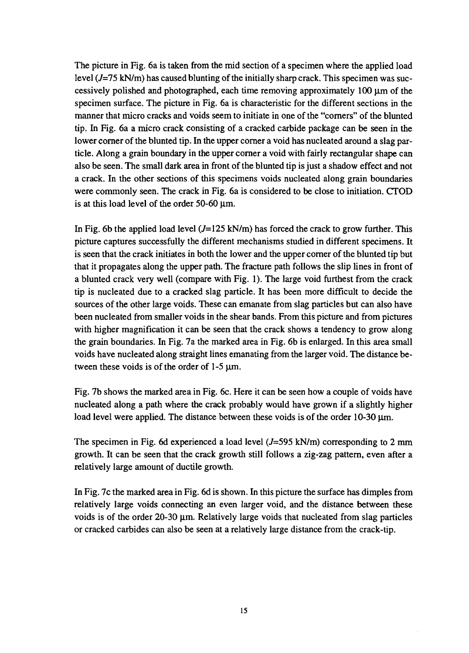The picture in Fig. 6a is taken from the mid section of a specimen where the applied load level  $(J=75 \text{ kN/m})$  has caused blunting of the initially sharp crack. This specimen was successively polished and photographed, each time removing approximately 100  $\mu$ m of the specimen surface. The picture in Fig. 6a is characteristic for the different sections in the manner that micro cracks and voids seem to initiate in one of the "corners" of the blunted tip. In Fig. 6a a micro crack consisting of a cracked carbide package can be seen in the lower corner of the blunted tip. In the upper corner a void has nucleated around a slag particle. Along a grain boundary in the upper corner a void with fairly rectangular shape can also be seen. The small dark area in front of the blunted tip is just a shadow effect and not a crack. In the other sections of this specimens voids nucleated along grain boundaries were commonly seen. The crack in Fig. 6a is considered to be close to initiation. CTOD is at this load level of the order 50-60  $\mu$ m.

In Fig. 6b the applied load level  $(J=125 \text{ kN/m})$  has forced the crack to grow further. This picture captures successfully the different mechanisms studied in different specimens. It is seen that the crack initiates in both the lower and the upper corner of the blunted tip but that it propagates along the upper path. The fracture path follows the slip lines in front of a blunted crack very well (compare with Fig. 1). The large void furthest from the crack tip is nucleated due to a cracked slag particle. It has been more difficult to decide the sources of the other large voids. These can emanate from slag particles but can also have been nucleated from smaller voids in the shear bands. From this picture and from pictures with higher magnification it can be seen that the crack shows a tendency to grow along the grain boundaries. In Fig. 7a the marked area in Fig. 6b is enlarged. In this area small voids have nucleated along straight lines emanating from the larger void. The distance between these voids is of the order of  $1-5 \mu m$ .

Fig. 7b shows the marked area in Fig. 6c. Here it can be seen how a couple of voids have nucleated along a path where the crack probably would have grown if a slightly higher load level were applied. The distance between these voids is of the order  $10-30 \mu m$ .

The specimen in Fig. 6d experienced a load level  $(J=595 \text{ kN/m})$  corresponding to 2 mm growth. It can be seen that the crack growth still follows a zig-zag pattern, even after a relatively large amount of ductile growth.

In Fig. 7c the marked area in Fig. 6d is shown. In this picture the surface has dimples from relatively large voids connecting an even larger void, and the distance between these voids is of the order 20-30  $\mu$ m. Relatively large voids that nucleated from slag particles or cracked carbides can also be seen at a relatively large distance from the crack-tip.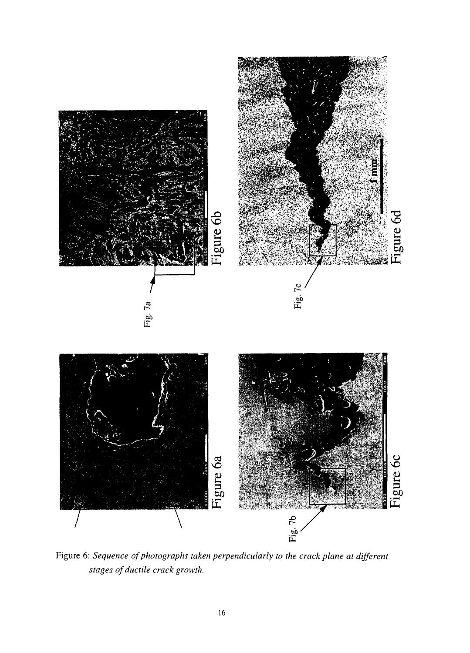

Figure 6: *Sequence of photographs taken perpendicularly to the crack plane at different stages of ductile crack growth.*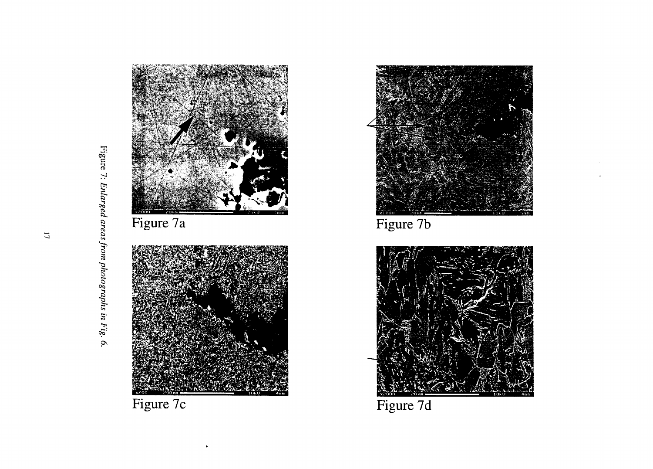



Figure 7b



Figure 7d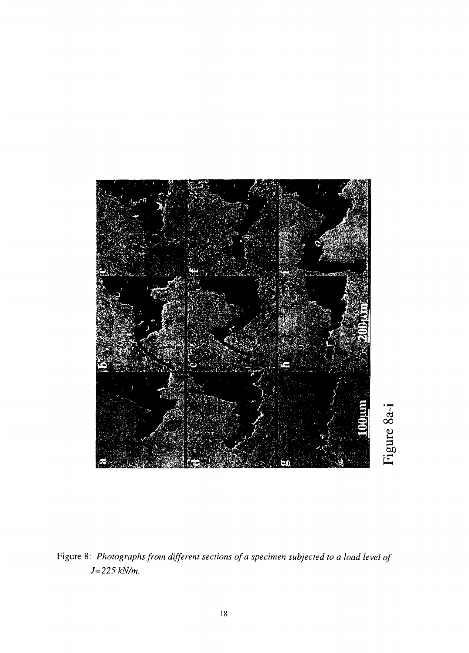

Figure 8: *Photographs from different sections of a specimen subjected to a load level of J=225 kN/m.*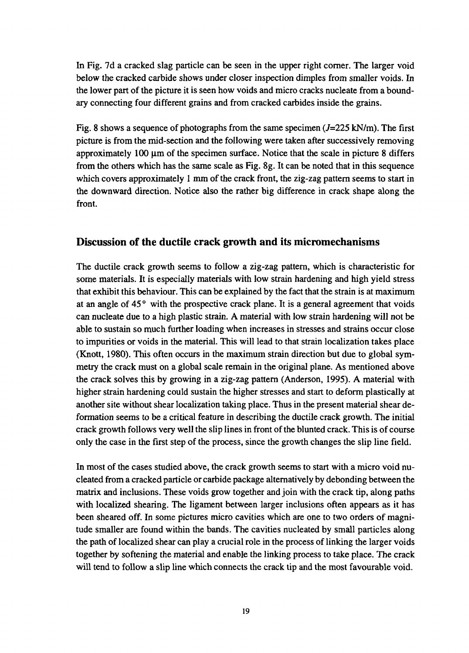In Fig. 7d a cracked slag particle can be seen in the upper right corner. The larger void below the cracked carbide shows under closer inspection dimples from smaller voids. In the lower part of the picture it is seen how voids and micro cracks nucleate from a boundary connecting four different grains and from cracked carbides inside the grains.

Fig. 8 shows a sequence of photographs from the same specimen  $(J=225 \text{ kN/m})$ . The first picture is from the mid-section and the following were taken after successively removing approximately  $100 \mu$ m of the specimen surface. Notice that the scale in picture 8 differs from the others which has the same scale as Fig. 8g. It can be noted that in this sequence which covers approximately 1 mm of the crack front, the zig-zag pattern seems to start in the downward direction. Notice also the rather big difference in crack shape along the front.

#### Discussion of the ductile crack growth and its micromechanisms

The ductile crack growth seems to follow a zig-zag pattern, which is characteristic for some materials. It is especially materials with low strain hardening and high yield stress that exhibit this behaviour. This can be explained by the fact that the strain is at maximum at an angle of  $45^\circ$  with the prospective crack plane. It is a general agreement that voids can nucleate due to a high plastic strain. A material with low strain hardening will not be able to sustain so much further loading when increases in stresses and strains occur close to impurities or voids in the material. This will lead to that strain localization takes place (Knott, 1980). This often occurs in the maximum strain direction but due to global symmetry the crack must on a global scale remain in the original plane. As mentioned above the crack solves this by growing in a zig-zag pattern (Anderson, 1995). A material with higher strain hardening could sustain the higher stresses and start to deform plastically at another site without shear localization taking place. Thus in the present material shear deformation seems to be a critical feature in describing the ductile crack growth. The initial crack growth follows very well the slip lines in front of the blunted crack. This is of course only the case in the first step of the process, since the growth changes the slip line field.

In most of the cases studied above, the crack growth seems to start with a micro void nucleated from a cracked particle or carbide package alternatively by debonding between the matrix and inclusions. These voids grow together and join with the crack tip, along paths with localized shearing. The ligament between larger inclusions often appears as it has been sheared off. In some pictures micro cavities which are one to two orders of magnitude smaller are found within the bands. The cavities nucleated by small particles along the path of localized shear can play a crucial role in the process of linking the larger voids together by softening the material and enable the linking process to take place. The crack will tend to follow a slip line which connects the crack tip and the most favourable void.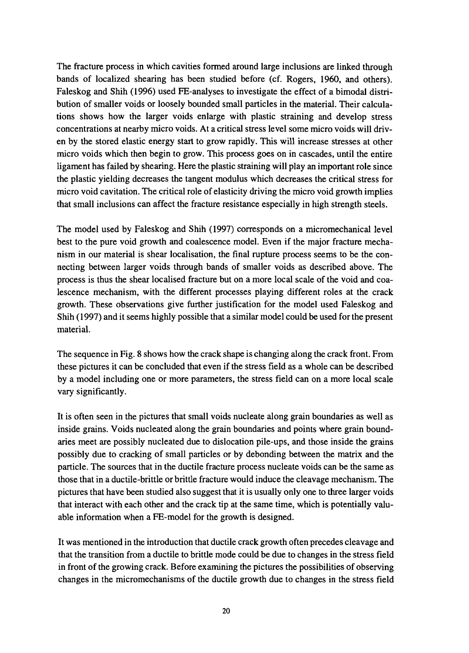The fracture process in which cavities formed around large inclusions are linked through bands of localized shearing has been studied before (cf. Rogers, 1960, and others). Faleskog and Shih (1996) used FE-analyses to investigate the effect of a bimodal distribution of smaller voids or loosely bounded small particles in the material. Their calculations shows how the larger voids enlarge with plastic straining and develop stress concentrations at nearby micro voids. At a critical stress level some micro voids will driven by the stored elastic energy start to grow rapidly. This will increase stresses at other micro voids which then begin to grow. This process goes on in cascades, until the entire ligament has failed by shearing. Here the plastic straining will play an important role since the plastic yielding decreases the tangent modulus which decreases the critical stress for micro void cavitation. The critical role of elasticity driving the micro void growth implies that small inclusions can affect the fracture resistance especially in high strength steels.

The model used by Faleskog and Shih (1997) corresponds on a micromechanical level best to the pure void growth and coalescence model. Even if the major fracture mechanism in our material is shear localisation, the final rupture process seems to be the connecting between larger voids through bands of smaller voids as described above. The process is thus the shear localised fracture but on a more local scale of the void and coalescence mechanism, with the different processes playing different roles at the crack growth. These observations give further justification for the model used Faleskog and Shih (1997) and it seems highly possible that a similar model could be used for the present material.

The sequence in Fig. 8 shows how the crack shape is changing along the crack front. From these pictures it can be concluded that even if the stress field as a whole can be described by a model including one or more parameters, the stress field can on a more local scale vary significantly.

It is often seen in the pictures that small voids nucleate along grain boundaries as well as inside grains. Voids nucleated along the grain boundaries and points where grain boundaries meet are possibly nucleated due to dislocation pile-ups, and those inside the grains possibly due to cracking of small particles or by debonding between the matrix and the particle. The sources that in the ductile fracture process nucleate voids can be the same as those that in a ductile-brittle or brittle fracture would induce the cleavage mechanism. The pictures that have been studied also suggest that it is usually only one to three larger voids that interact with each other and the crack tip at the same time, which is potentially valuable information when a FE-model for the growth is designed.

It was mentioned in the introduction that ductile crack growth often precedes cleavage and that the transition from a ductile to brittle mode could be due to changes in the stress field in front of the growing crack. Before examining the pictures the possibilities of observing changes in the micromechanisms of the ductile growth due to changes in the stress field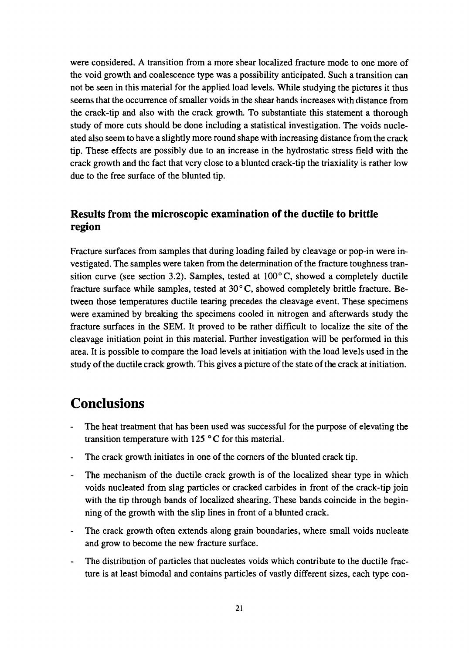were considered. A transition from a more shear localized fracture mode to one more of the void growth and coalescence type was a possibility anticipated. Such a transition can not be seen in this material for the applied load levels. While studying the pictures it thus seems that the occurrence of smaller voids in the shear bands increases with distance from the crack-tip and also with the crack growth. To substantiate this statement a thorough study of more cuts should be done including a statistical investigation. The voids nucleated also seem to have a slightly more round shape with increasing distance from the crack tip. These effects are possibly due to an increase in the hydrostatic stress field with the crack growth and the fact that very close to a blunted crack-tip the triaxiality is rather low due to the free surface of the blunted tip.

#### Results from the microscopic examination of the ductile to brittle region

Fracture surfaces from samples that during loading failed by cleavage or pop-in were investigated. The samples were taken from the determination of the fracture toughness transition curve (see section 3.2). Samples, tested at  $100^{\circ}$ C, showed a completely ductile fracture surface while samples, tested at  $30^{\circ}$ C, showed completely brittle fracture. Between those temperatures ductile tearing precedes the cleavage event. These specimens were examined by breaking the specimens cooled in nitrogen and afterwards study the fracture surfaces in the SEM. It proved to be rather difficult to localize the site of the cleavage initiation point in this material. Further investigation will be performed in this area. It is possible to compare the load levels at initiation with the load levels used in the study of the ductile crack growth. This gives a picture of the state of the crack at initiation.

### **Conclusions**

- The heat treatment that has been used was successful for the purpose of elevating the transition temperature with 125 °C for this material.
- The crack growth initiates in one of the corners of the blunted crack tip.
- The mechanism of the ductile crack growth is of the localized shear type in which voids nucleated from slag particles or cracked carbides in front of the crack-tip join with the tip through bands of localized shearing. These bands coincide in the beginning of the growth with the slip lines in front of a blunted crack.
- The crack growth often extends along grain boundaries, where small voids nucleate and grow to become the new fracture surface.
- The distribution of particles that nucleates voids which contribute to the ductile fracture is at least bimodal and contains particles of vastly different sizes, each type con-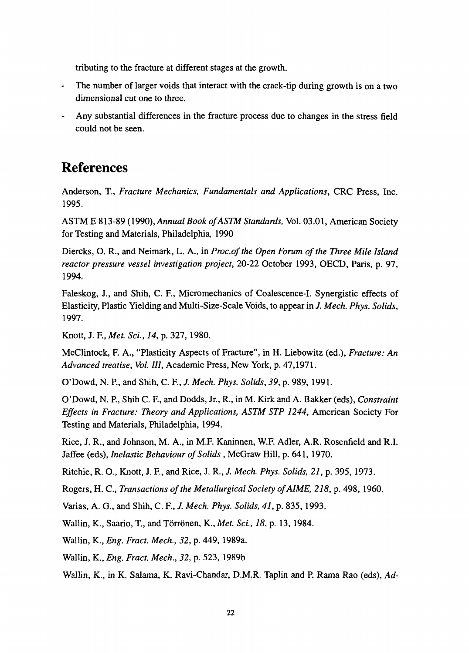tributing to the fracture at different stages at the growth.

- The number of larger voids that interact with the crack-tip during growth is on a two dimensional cut one to three.
- Any substantial differences in the fracture process due to changes in the stress field could not be seen.

### **References**

Anderson, T., *Fracture Mechanics, Fundamentals and Applications,* CRC Press, Inc. 1995.

ASTM E 813-89 (1990), *Annual Book ofASTM Standards,* Vol. 03.01, American Society for Testing and Materials, Philadelphia, 1990

Diercks, O. R., and Neimark, L. A., in Proc.of the Open Forum of the Three Mile Island *reactor pressure vessel investigation project,* 20-22 October 1993, OECD, Paris, p. 97, 1994.

Faleskog, J., and Shih, C. F., Micromechanics of Coalescence-I. Synergistic effects of Elasticity, Plastic Yielding and Multi-Size-Scale Voids, to appear in /. *Mech. Phys. Solids,* 1997.

Knott, J. R, *Met. ScL, 14,* p. 327, 1980.

McClintock, F. A., "Plasticity Aspects of Fracture", in H. Liebowitz (ed.), *Fracture: An Advanced treatise, Vol. Ill,* Academic Press, New York, p. 47,1971.

O'Dowd, N. P., and Shih, C. F., *J. Mech. Phys. Solids, 39,* p. 989, 1991.

O'Dowd, N. P., Shih C. F., and Dodds, Jr., R., in M. Kirk and A. Bakker (eds), *Constraint Effects in Fracture: Theory and Applications, ASTM STP 1244,* American Society For Testing and Materials, Philadelphia, 1994.

Rice, J. R., and Johnson, M. A., in M.F. Kaninnen, W.F. Adler, A.R. Rosenfield and R.I. Jaffee (eds), *Inelastic Behaviour of Solids ,* McGraw Hill, p. 641, 1970.

Ritchie, R. O., Knott, J. R, and Rice, J. R., *J. Mech. Phys. Solids, 21,* p. 395, 1973.

Rogers, H. C, *Transactions of the Metallurgical Society ofAIME, 218,* p. 498, 1960.

Varias, A. G., and Shih, C. R, *J. Mech. Phys. Solids, 41,* p. 835,1993.

Wallin, K., Saario, T, and Torronen, K., *Met. Sci., 18,* p. 13, 1984.

Wallin, K., *Eng. Fract. Mech., 32,* p. 449, 1989a.

Wallin, K., *Eng. Fract. Mech., 32,* p. 523, 1989b

Wallin, K., in K. Salama, K. Ravi-Chandar, D.M.R. Taplin and P. Rama Rao (eds), *Ad-*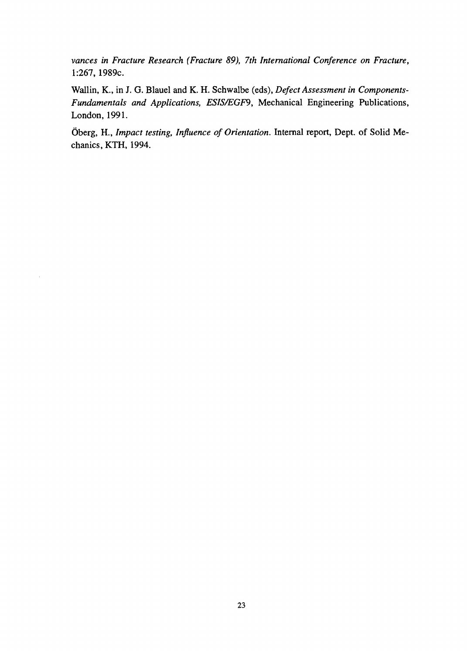*vances in Fracture Research (Fracture 89), 7th International Conference on Fracture,* 1:267,1989c.

Wallin, K., in J. G. Blauel and K. H. Schwalbe (eds), *Defect Assessment in Components-Fundamentals and Applications, ESIS/EGF9,* Mechanical Engineering Publications, London, 1991.

Oberg, H., *Impact testing, Influence of Orientation.* Internal report, Dept. of Solid Mechanics, KTH, 1994.